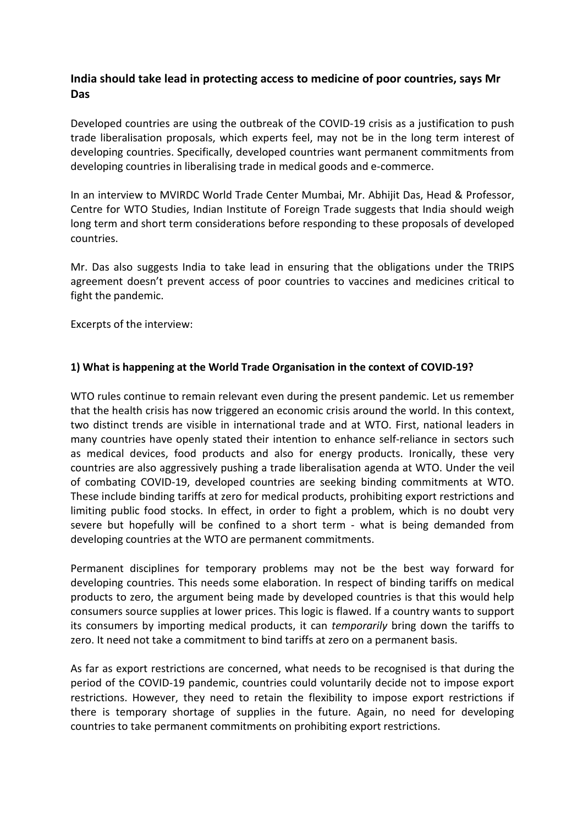# **India should take lead in protecting access to medicine of poor countries, says Mr Das**

Developed countries are using the outbreak of the COVID-19 crisis as a justification to push trade liberalisation proposals, which experts feel, may not be in the long term interest of developing countries. Specifically, developed countries want permanent commitments from developing countries in liberalising trade in medical goods and e-commerce.

In an interview to MVIRDC World Trade Center Mumbai, Mr. Abhijit Das, Head & Professor, Centre for WTO Studies, Indian Institute of Foreign Trade suggests that India should weigh long term and short term considerations before responding to these proposals of developed countries.

Mr. Das also suggests India to take lead in ensuring that the obligations under the TRIPS agreement doesn't prevent access of poor countries to vaccines and medicines critical to fight the pandemic.

Excerpts of the interview:

## **1) What is happening at the World Trade Organisation in the context of COVID-19?**

WTO rules continue to remain relevant even during the present pandemic. Let us remember that the health crisis has now triggered an economic crisis around the world. In this context, two distinct trends are visible in international trade and at WTO. First, national leaders in many countries have openly stated their intention to enhance self-reliance in sectors such as medical devices, food products and also for energy products. Ironically, these very countries are also aggressively pushing a trade liberalisation agenda at WTO. Under the veil of combating COVID-19, developed countries are seeking binding commitments at WTO. These include binding tariffs at zero for medical products, prohibiting export restrictions and limiting public food stocks. In effect, in order to fight a problem, which is no doubt very severe but hopefully will be confined to a short term - what is being demanded from developing countries at the WTO are permanent commitments.

Permanent disciplines for temporary problems may not be the best way forward for developing countries. This needs some elaboration. In respect of binding tariffs on medical products to zero, the argument being made by developed countries is that this would help consumers source supplies at lower prices. This logic is flawed. If a country wants to support its consumers by importing medical products, it can *temporarily* bring down the tariffs to zero. It need not take a commitment to bind tariffs at zero on a permanent basis.

As far as export restrictions are concerned, what needs to be recognised is that during the period of the COVID-19 pandemic, countries could voluntarily decide not to impose export restrictions. However, they need to retain the flexibility to impose export restrictions if there is temporary shortage of supplies in the future. Again, no need for developing countries to take permanent commitments on prohibiting export restrictions.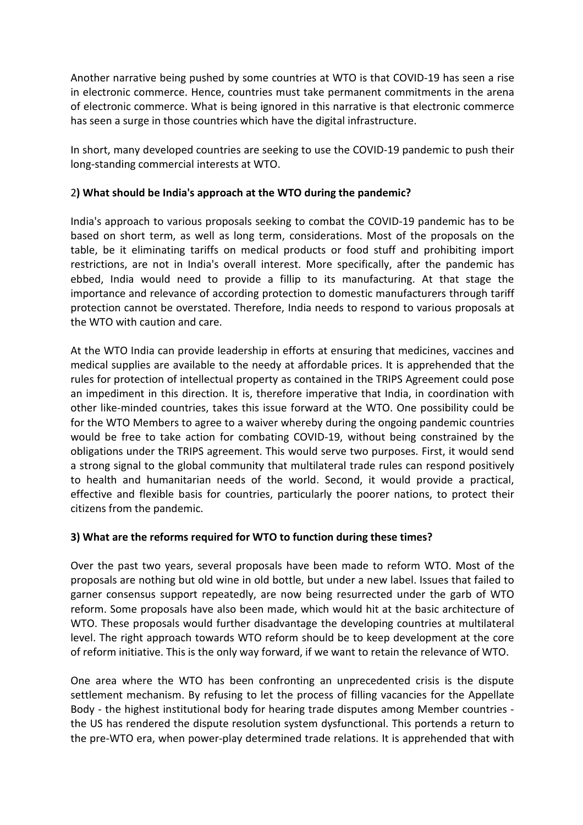Another narrative being pushed by some countries at WTO is that COVID-19 has seen a rise in electronic commerce. Hence, countries must take permanent commitments in the arena of electronic commerce. What is being ignored in this narrative is that electronic commerce has seen a surge in those countries which have the digital infrastructure.

In short, many developed countries are seeking to use the COVID-19 pandemic to push their long-standing commercial interests at WTO.

#### 2**) What should be India's approach at the WTO during the pandemic?**

India's approach to various proposals seeking to combat the COVID-19 pandemic has to be based on short term, as well as long term, considerations. Most of the proposals on the table, be it eliminating tariffs on medical products or food stuff and prohibiting import restrictions, are not in India's overall interest. More specifically, after the pandemic has ebbed, India would need to provide a fillip to its manufacturing. At that stage the importance and relevance of according protection to domestic manufacturers through tariff protection cannot be overstated. Therefore, India needs to respond to various proposals at the WTO with caution and care.

At the WTO India can provide leadership in efforts at ensuring that medicines, vaccines and medical supplies are available to the needy at affordable prices. It is apprehended that the rules for protection of intellectual property as contained in the TRIPS Agreement could pose an impediment in this direction. It is, therefore imperative that India, in coordination with other like-minded countries, takes this issue forward at the WTO. One possibility could be for the WTO Members to agree to a waiver whereby during the ongoing pandemic countries would be free to take action for combating COVID-19, without being constrained bythe obligations under the TRIPS agreement. This would serve two purposes. First, it would send a strong signal to the global community that multilateral trade rules can respond positively to health and humanitarian needs of the world. Second, it would provide a practical, effective and flexible basis for countries, particularly the poorer nations, to protect their citizens from the pandemic.

## **3) What are the reforms required for WTO to function during these times?**

Over the past two years, several proposals have been made to reform WTO. Most of the proposals are nothing but old wine in old bottle, but under a new label. Issues that failed to garner consensus support repeatedly, are now being resurrected under the garb of WTO reform. Some proposals have also been made, which would hit at the basic architecture of WTO. These proposals would further disadvantage the developing countries at multilateral level. The right approach towards WTO reform should be to keep development at the core of reform initiative. This is the only way forward, if we want to retain the relevance of WTO.

One area where the WTO has been confronting an unprecedented crisis is the dispute settlement mechanism. By refusing to let the process of filling vacancies for the Appellate Body - the highest institutional body for hearing trade disputes among Member countries the US has rendered the dispute resolution system dysfunctional. This portends a return to the pre-WTO era, when power-play determined trade relations. It is apprehended that with